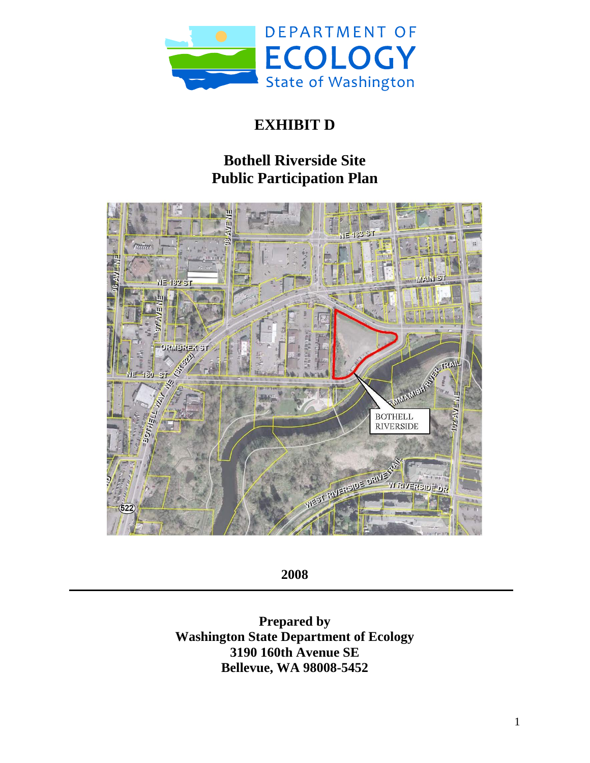

# **EXHIBIT D**

## **Bothell Riverside Site Public Participation Plan**



**2008** 

**Prepared by Washington State Department of Ecology 3190 160th Avenue SE Bellevue, WA 98008-5452**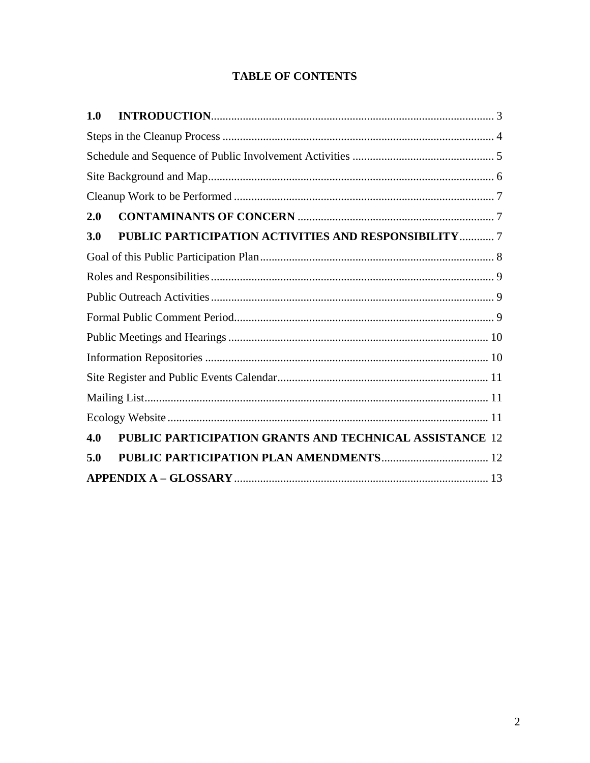#### **TABLE OF CONTENTS**

| 1.0 |                                                         |  |
|-----|---------------------------------------------------------|--|
|     |                                                         |  |
|     |                                                         |  |
|     |                                                         |  |
|     |                                                         |  |
| 2.0 |                                                         |  |
| 3.0 | PUBLIC PARTICIPATION ACTIVITIES AND RESPONSIBILITY  7   |  |
|     |                                                         |  |
|     |                                                         |  |
|     |                                                         |  |
|     |                                                         |  |
|     |                                                         |  |
|     |                                                         |  |
|     |                                                         |  |
|     |                                                         |  |
|     |                                                         |  |
| 4.0 | PUBLIC PARTICIPATION GRANTS AND TECHNICAL ASSISTANCE 12 |  |
| 5.0 |                                                         |  |
|     |                                                         |  |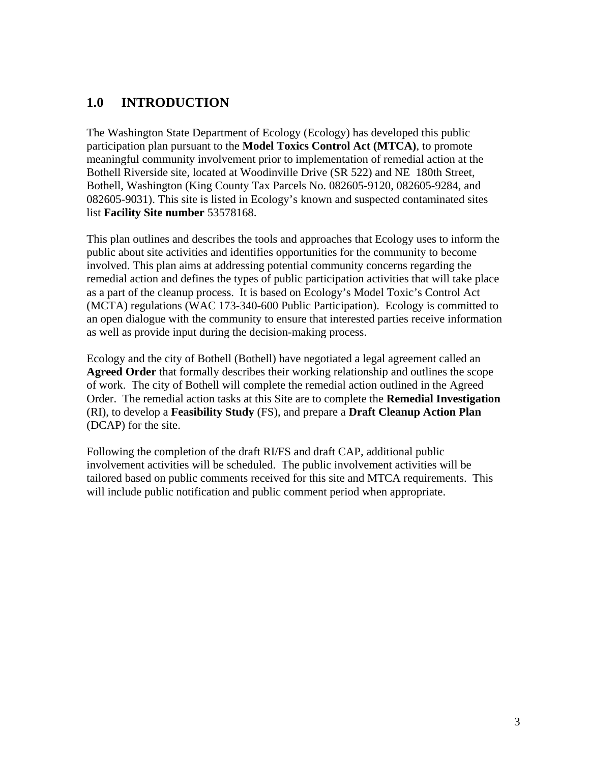### <span id="page-2-0"></span>**1.0 INTRODUCTION**

The Washington State Department of Ecology (Ecology) has developed this public participation plan pursuant to the **Model Toxics Control Act (MTCA)**, to promote meaningful community involvement prior to implementation of remedial action at the Bothell Riverside site, located at Woodinville Drive (SR 522) and NE 180th Street, Bothell, Washington (King County Tax Parcels No. 082605-9120, 082605-9284, and 082605-9031). This site is listed in Ecology's known and suspected contaminated sites list **Facility Site number** 53578168.

This plan outlines and describes the tools and approaches that Ecology uses to inform the public about site activities and identifies opportunities for the community to become involved. This plan aims at addressing potential community concerns regarding the remedial action and defines the types of public participation activities that will take place as a part of the cleanup process. It is based on Ecology's Model Toxic's Control Act (MCTA) regulations (WAC 173-340-600 Public Participation). Ecology is committed to an open dialogue with the community to ensure that interested parties receive information as well as provide input during the decision-making process.

Ecology and the city of Bothell (Bothell) have negotiated a legal agreement called an **Agreed Order** that formally describes their working relationship and outlines the scope of work. The city of Bothell will complete the remedial action outlined in the Agreed Order. The remedial action tasks at this Site are to complete the **Remedial Investigation**  (RI), to develop a **Feasibility Study** (FS), and prepare a **Draft Cleanup Action Plan**  (DCAP) for the site.

Following the completion of the draft RI/FS and draft CAP, additional public involvement activities will be scheduled. The public involvement activities will be tailored based on public comments received for this site and MTCA requirements. This will include public notification and public comment period when appropriate.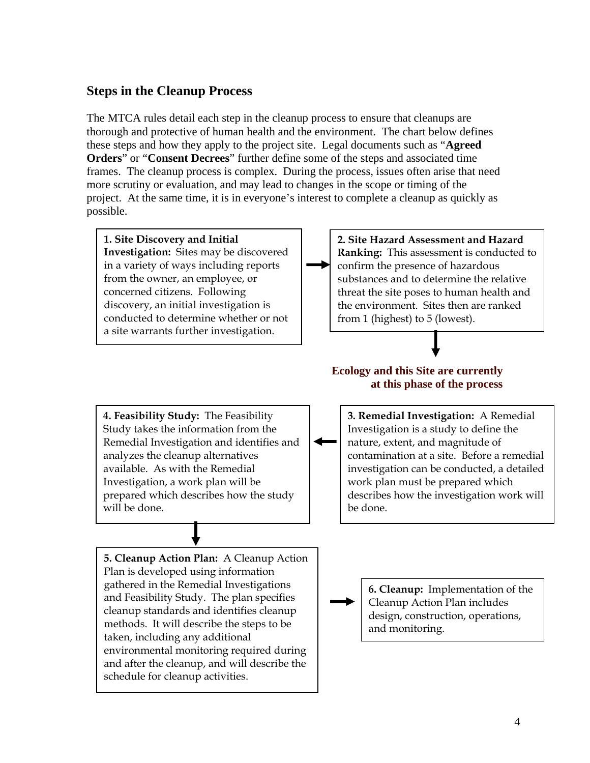#### <span id="page-3-0"></span>**Steps in the Cleanup Process**

The MTCA rules detail each step in the cleanup process to ensure that cleanups are thorough and protective of human health and the environment. The chart below defines these steps and how they apply to the project site. Legal documents such as "**Agreed Orders**" or "**Consent Decrees**" further define some of the steps and associated time frames. The cleanup process is complex. During the process, issues often arise that need more scrutiny or evaluation, and may lead to changes in the scope or timing of the project. At the same time, it is in everyone's interest to complete a cleanup as quickly as possible.

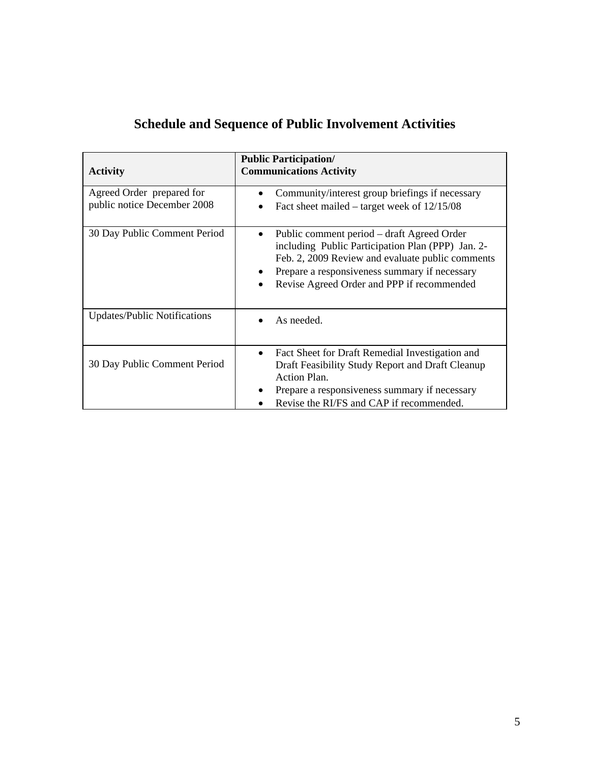<span id="page-4-0"></span>

| <b>Activity</b>                                          | <b>Public Participation/</b><br><b>Communications Activity</b>                                                                                                                                                                                                  |
|----------------------------------------------------------|-----------------------------------------------------------------------------------------------------------------------------------------------------------------------------------------------------------------------------------------------------------------|
| Agreed Order prepared for<br>public notice December 2008 | Community/interest group briefings if necessary<br>Fact sheet mailed – target week of $12/15/08$                                                                                                                                                                |
| 30 Day Public Comment Period                             | Public comment period – draft Agreed Order<br>$\bullet$<br>including Public Participation Plan (PPP) Jan. 2-<br>Feb. 2, 2009 Review and evaluate public comments<br>Prepare a responsiveness summary if necessary<br>Revise Agreed Order and PPP if recommended |
| <b>Updates/Public Notifications</b>                      | As needed.                                                                                                                                                                                                                                                      |
| 30 Day Public Comment Period                             | Fact Sheet for Draft Remedial Investigation and<br>$\bullet$<br>Draft Feasibility Study Report and Draft Cleanup<br><b>Action Plan.</b><br>Prepare a responsiveness summary if necessary<br>Revise the RI/FS and CAP if recommended.                            |

## **Schedule and Sequence of Public Involvement Activities**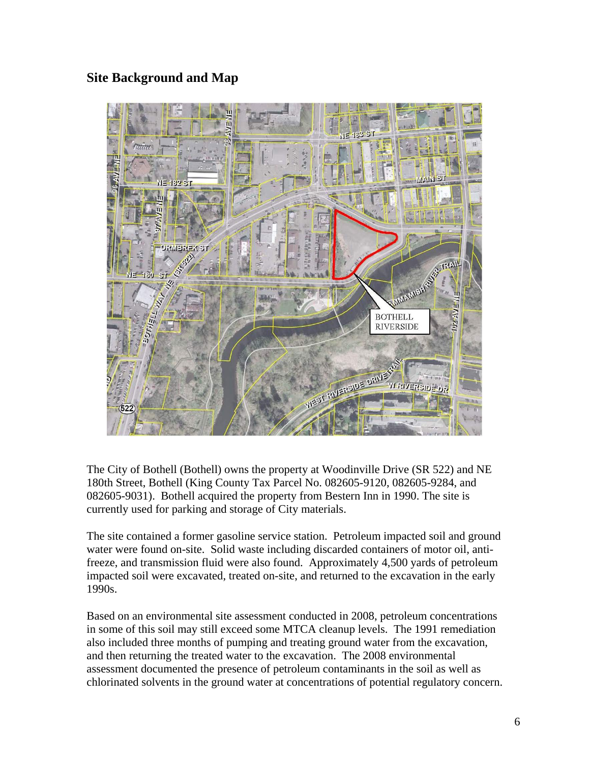### <span id="page-5-0"></span>**Site Background and Map**



The City of Bothell (Bothell) owns the property at Woodinville Drive (SR 522) and NE 180th Street, Bothell (King County Tax Parcel No. 082605-9120, 082605-9284, and 082605-9031). Bothell acquired the property from Bestern Inn in 1990. The site is currently used for parking and storage of City materials.

The site contained a former gasoline service station. Petroleum impacted soil and ground water were found on-site. Solid waste including discarded containers of motor oil, antifreeze, and transmission fluid were also found. Approximately 4,500 yards of petroleum impacted soil were excavated, treated on-site, and returned to the excavation in the early 1990s.

Based on an environmental site assessment conducted in 2008, petroleum concentrations in some of this soil may still exceed some MTCA cleanup levels. The 1991 remediation also included three months of pumping and treating ground water from the excavation, and then returning the treated water to the excavation. The 2008 environmental assessment documented the presence of petroleum contaminants in the soil as well as chlorinated solvents in the ground water at concentrations of potential regulatory concern.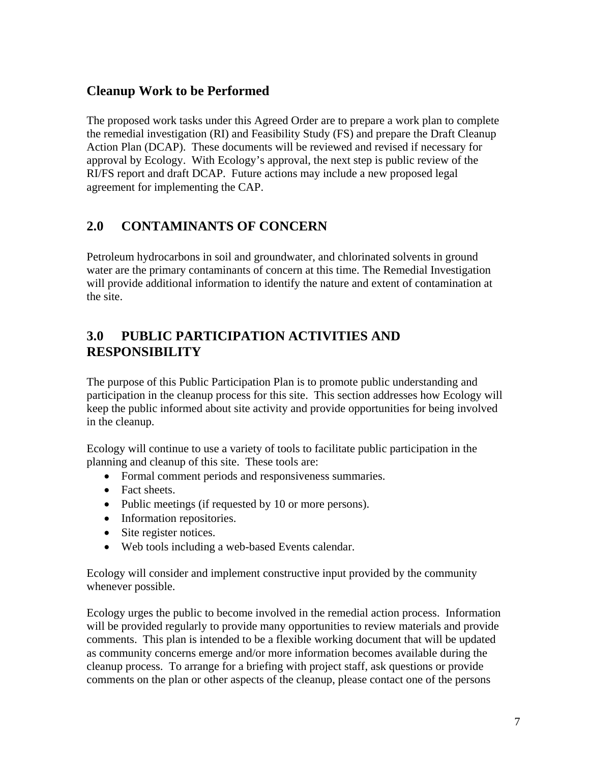#### <span id="page-6-0"></span>**Cleanup Work to be Performed**

The proposed work tasks under this Agreed Order are to prepare a work plan to complete the remedial investigation (RI) and Feasibility Study (FS) and prepare the Draft Cleanup Action Plan (DCAP). These documents will be reviewed and revised if necessary for approval by Ecology. With Ecology's approval, the next step is public review of the RI/FS report and draft DCAP. Future actions may include a new proposed legal agreement for implementing the CAP.

### **2.0 CONTAMINANTS OF CONCERN**

Petroleum hydrocarbons in soil and groundwater, and chlorinated solvents in ground water are the primary contaminants of concern at this time. The Remedial Investigation will provide additional information to identify the nature and extent of contamination at the site.

### **3.0 PUBLIC PARTICIPATION ACTIVITIES AND RESPONSIBILITY**

The purpose of this Public Participation Plan is to promote public understanding and participation in the cleanup process for this site. This section addresses how Ecology will keep the public informed about site activity and provide opportunities for being involved in the cleanup.

Ecology will continue to use a variety of tools to facilitate public participation in the planning and cleanup of this site. These tools are:

- Formal comment periods and responsiveness summaries.
- Fact sheets.
- Public meetings (if requested by 10 or more persons).
- Information repositories.
- Site register notices.
- Web tools including a web-based Events calendar.

Ecology will consider and implement constructive input provided by the community whenever possible.

Ecology urges the public to become involved in the remedial action process. Information will be provided regularly to provide many opportunities to review materials and provide comments. This plan is intended to be a flexible working document that will be updated as community concerns emerge and/or more information becomes available during the cleanup process. To arrange for a briefing with project staff, ask questions or provide comments on the plan or other aspects of the cleanup, please contact one of the persons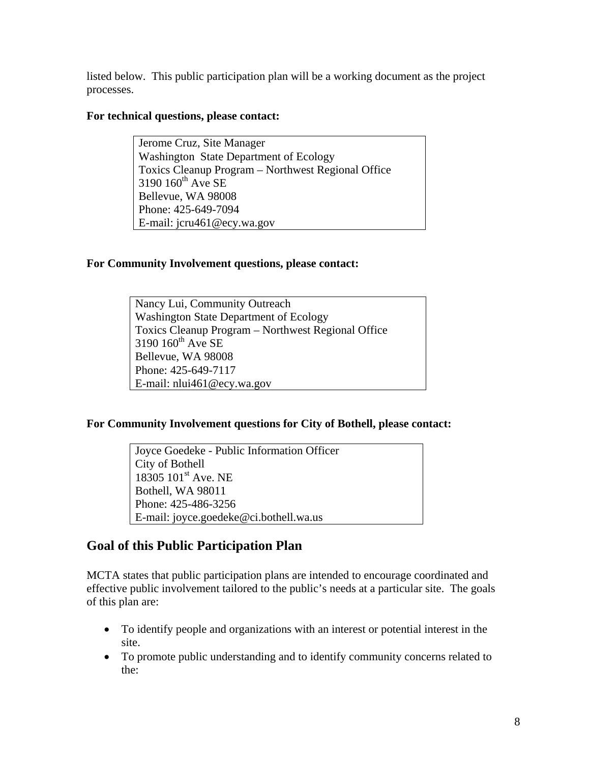<span id="page-7-0"></span>listed below. This public participation plan will be a working document as the project processes.

#### **For technical questions, please contact:**

Jerome Cruz, Site Manager Washington State Department of Ecology Toxics Cleanup Program – Northwest Regional Office  $3190$   $160$ <sup>th</sup> Ave SE Bellevue, WA 98008 Phone: 425-649-7094 E-mail: jcru[461@ecy.wa.gov](mailto:461@ecy.wa.gov)

#### **For Community Involvement questions, please contact:**

Nancy Lui, Community Outreach Washington State Department of Ecology Toxics Cleanup Program – Northwest Regional Office  $3190$   $160$ <sup>th</sup> Ave SE Bellevue, WA 98008 Phone: 425-649-7117 E-mail: [nlui461@ecy.wa.gov](mailto:nlui461@ecy.wa.gov) 

#### **For Community Involvement questions for City of Bothell, please contact:**

Joyce Goedeke - Public Information Officer City of Bothell 18305 101<sup>st</sup> Ave. NE Bothell, WA 98011 Phone: 425-486-3256 E-mail: joyce.goedeke@ci.bothell.wa.us

#### **Goal of this Public Participation Plan**

MCTA states that public participation plans are intended to encourage coordinated and effective public involvement tailored to the public's needs at a particular site. The goals of this plan are:

- To identify people and organizations with an interest or potential interest in the site.
- To promote public understanding and to identify community concerns related to the: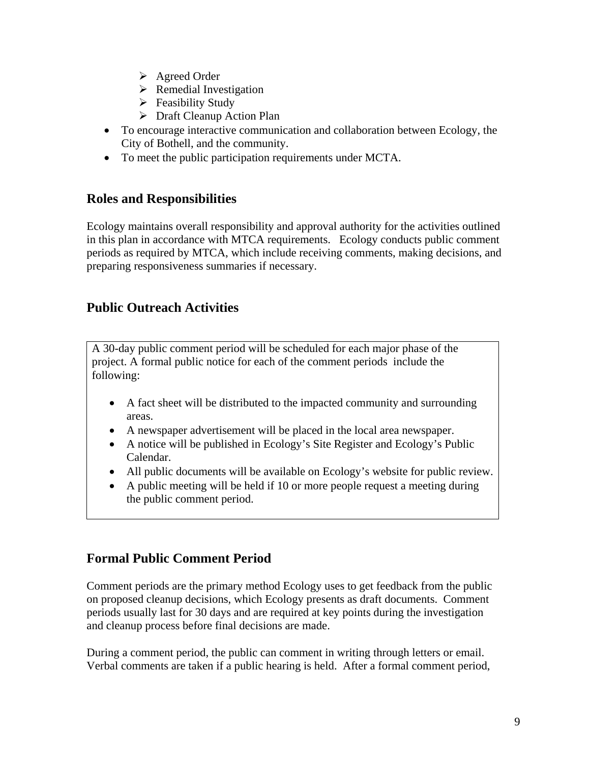- <span id="page-8-0"></span> $\triangleright$  Agreed Order
- $\triangleright$  Remedial Investigation
- $\triangleright$  Feasibility Study
- ¾ Draft Cleanup Action Plan
- To encourage interactive communication and collaboration between Ecology, the City of Bothell, and the community.
- To meet the public participation requirements under MCTA.

#### **Roles and Responsibilities**

Ecology maintains overall responsibility and approval authority for the activities outlined in this plan in accordance with MTCA requirements. Ecology conducts public comment periods as required by MTCA, which include receiving comments, making decisions, and preparing responsiveness summaries if necessary.

#### **Public Outreach Activities**

A 30-day public comment period will be scheduled for each major phase of the project. A formal public notice for each of the comment periods include the following:

- A fact sheet will be distributed to the impacted community and surrounding areas.
- A newspaper advertisement will be placed in the local area newspaper.
- A notice will be published in Ecology's Site Register and Ecology's Public Calendar.
- All public documents will be available on Ecology's website for public review.
- A public meeting will be held if 10 or more people request a meeting during the public comment period.

### **Formal Public Comment Period**

Comment periods are the primary method Ecology uses to get feedback from the public on proposed cleanup decisions, which Ecology presents as draft documents. Comment periods usually last for 30 days and are required at key points during the investigation and cleanup process before final decisions are made.

During a comment period, the public can comment in writing through letters or email. Verbal comments are taken if a public hearing is held. After a formal comment period,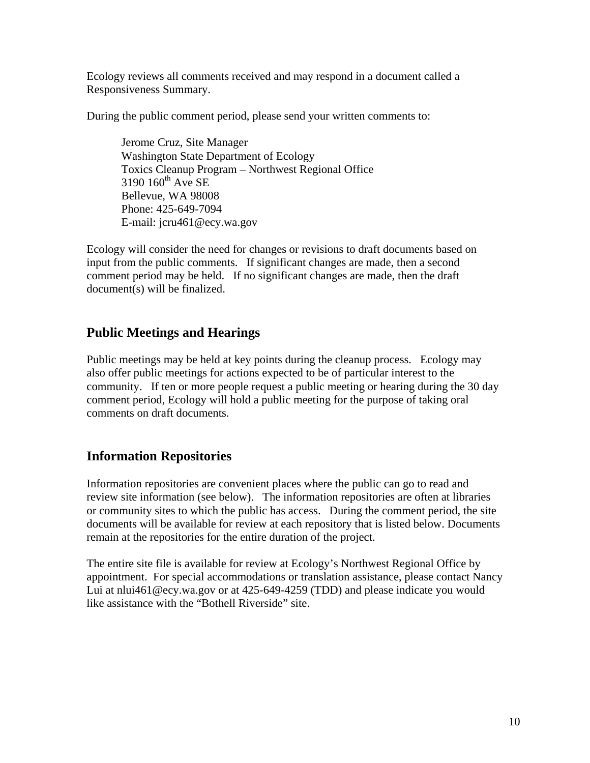<span id="page-9-0"></span>Ecology reviews all comments received and may respond in a document called a Responsiveness Summary.

During the public comment period, please send your written comments to:

Jerome Cruz, Site Manager Washington State Department of Ecology Toxics Cleanup Program – Northwest Regional Office  $3190$   $160$ <sup>th</sup> Ave SE Bellevue, WA 98008 Phone: 425-649-7094 E-mail: jcru[461@ecy.wa.gov](mailto:461@ecy.wa.gov) 

Ecology will consider the need for changes or revisions to draft documents based on input from the public comments. If significant changes are made, then a second comment period may be held. If no significant changes are made, then the draft document(s) will be finalized.

### **Public Meetings and Hearings**

Public meetings may be held at key points during the cleanup process. Ecology may also offer public meetings for actions expected to be of particular interest to the community. If ten or more people request a public meeting or hearing during the 30 day comment period, Ecology will hold a public meeting for the purpose of taking oral comments on draft documents.

### **Information Repositories**

Information repositories are convenient places where the public can go to read and review site information (see below). The information repositories are often at libraries or community sites to which the public has access. During the comment period, the site documents will be available for review at each repository that is listed below. Documents remain at the repositories for the entire duration of the project.

The entire site file is available for review at Ecology's Northwest Regional Office by appointment. For special accommodations or translation assistance, please contact Nancy Lui at nlui461@ecy.wa.gov or at 425-649-4259 (TDD) and please indicate you would like assistance with the "Bothell Riverside" site.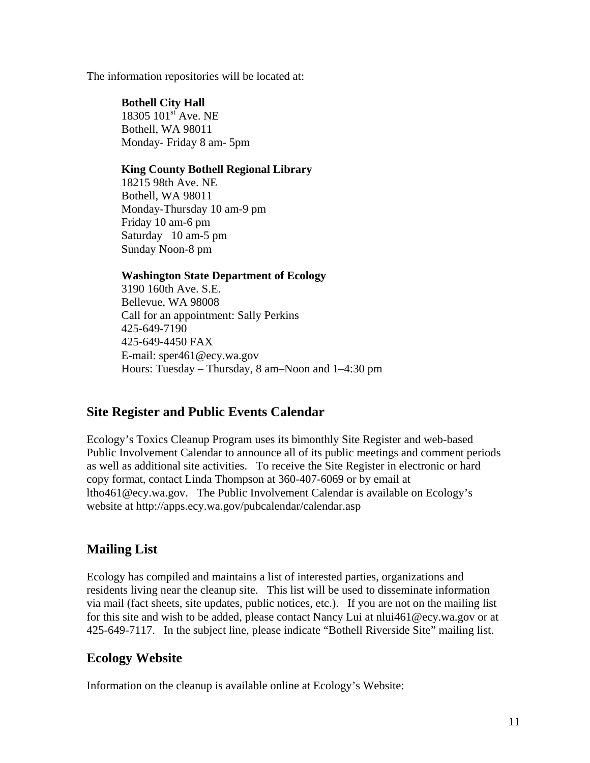<span id="page-10-0"></span>The information repositories will be located at:

#### **Bothell City Hall**

18305  $101^{\text{st}}$  Ave. NE Bothell, WA 98011 Monday- Friday 8 am- 5pm

#### **King County Bothell Regional Library**

18215 98th Ave. NE Bothell, WA 98011 Monday-Thursday 10 am-9 pm Friday 10 am-6 pm Saturday 10 am-5 pm Sunday Noon-8 pm

#### **Washington State Department of Ecology**

3190 160th Ave. S.E. Bellevue, WA 98008 Call for an appointment: Sally Perkins 425-649-7190 425-649-4450 FAX E-mail: sper461@ecy.wa.gov Hours: Tuesday – Thursday, 8 am–Noon and 1–4:30 pm

#### **Site Register and Public Events Calendar**

Ecology's Toxics Cleanup Program uses its bimonthly Site Register and web-based Public Involvement Calendar to announce all of its public meetings and comment periods as well as additional site activities. To receive the Site Register in electronic or hard copy format, contact Linda Thompson at 360-407-6069 or by email at [ltho461@ecy.wa.gov](mailto:ltho461@ecy.wa.gov). The Public Involvement Calendar is available on Ecology's website at http://apps.ecy.wa.gov/pubcalendar/calendar.asp

#### **Mailing List**

Ecology has compiled and maintains a list of interested parties, organizations and residents living near the cleanup site. This list will be used to disseminate information via mail (fact sheets, site updates, public notices, etc.). If you are not on the mailing list for this site and wish to be added, please contact Nancy Lui at [nlui461@ecy.wa.gov](mailto:nlui461@ecy.wa.gov) or at 425-649-7117. In the subject line, please indicate "Bothell Riverside Site" mailing list.

#### **Ecology Website**

Information on the cleanup is available online at Ecology's Website: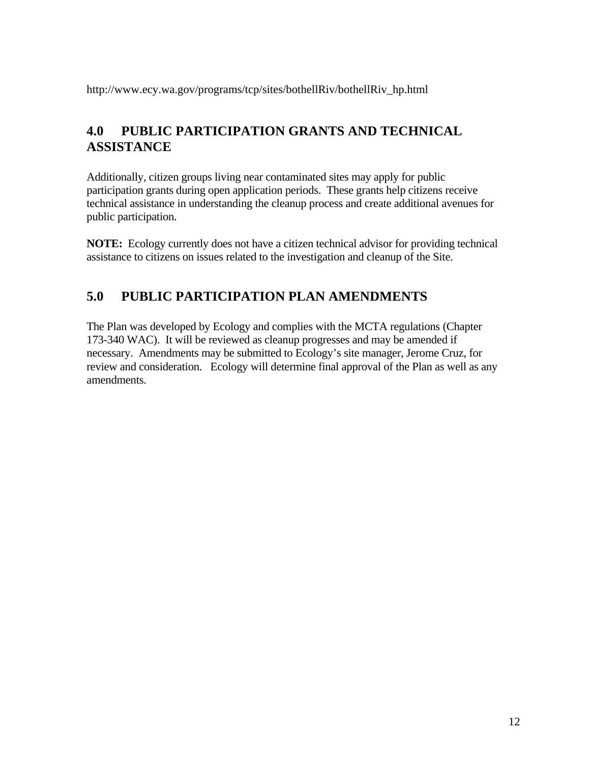<span id="page-11-0"></span>http://www.ecy.wa.gov/programs/tcp/sites/bothellRiv/bothellRiv\_hp.html

### **4.0 PUBLIC PARTICIPATION GRANTS AND TECHNICAL ASSISTANCE**

Additionally, citizen groups living near contaminated sites may apply for public participation grants during open application periods. These grants help citizens receive technical assistance in understanding the cleanup process and create additional avenues for public participation.

**NOTE:** Ecology currently does not have a citizen technical advisor for providing technical assistance to citizens on issues related to the investigation and cleanup of the Site.

## **5.0 PUBLIC PARTICIPATION PLAN AMENDMENTS**

The Plan was developed by Ecology and complies with the MCTA regulations (Chapter 173-340 WAC). It will be reviewed as cleanup progresses and may be amended if necessary. Amendments may be submitted to Ecology's site manager, Jerome Cruz, for review and consideration. Ecology will determine final approval of the Plan as well as any amendments.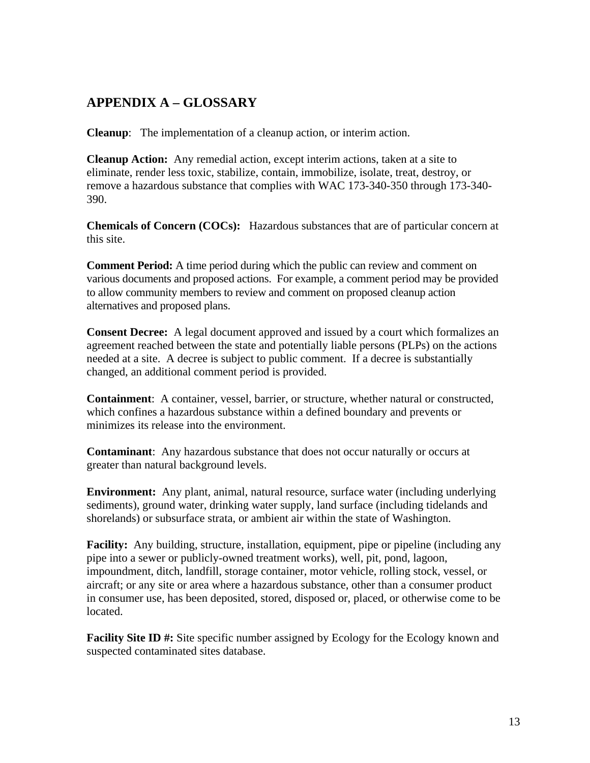### <span id="page-12-0"></span>**APPENDIX A – GLOSSARY**

**Cleanup**: The implementation of a cleanup action, or interim action.

**Cleanup Action:** Any remedial action, except interim actions, taken at a site to eliminate, render less toxic, stabilize, contain, immobilize, isolate, treat, destroy, or remove a hazardous substance that complies with WAC 173-340-350 through 173-340- 390.

**Chemicals of Concern (COCs):** Hazardous substances that are of particular concern at this site.

**Comment Period:** A time period during which the public can review and comment on various documents and proposed actions. For example, a comment period may be provided to allow community members to review and comment on proposed cleanup action alternatives and proposed plans.

**Consent Decree:** A legal document approved and issued by a court which formalizes an agreement reached between the state and potentially liable persons (PLPs) on the actions needed at a site. A decree is subject to public comment. If a decree is substantially changed, an additional comment period is provided.

**Containment**: A container, vessel, barrier, or structure, whether natural or constructed, which confines a hazardous substance within a defined boundary and prevents or minimizes its release into the environment.

**Contaminant**: Any hazardous substance that does not occur naturally or occurs at greater than natural background levels.

**Environment:** Any plant, animal, natural resource, surface water (including underlying sediments), ground water, drinking water supply, land surface (including tidelands and shorelands) or subsurface strata, or ambient air within the state of Washington.

**Facility:** Any building, structure, installation, equipment, pipe or pipeline (including any pipe into a sewer or publicly-owned treatment works), well, pit, pond, lagoon, impoundment, ditch, landfill, storage container, motor vehicle, rolling stock, vessel, or aircraft; or any site or area where a hazardous substance, other than a consumer product in consumer use, has been deposited, stored, disposed or, placed, or otherwise come to be located.

**Facility Site ID #:** Site specific number assigned by Ecology for the Ecology known and suspected contaminated sites database.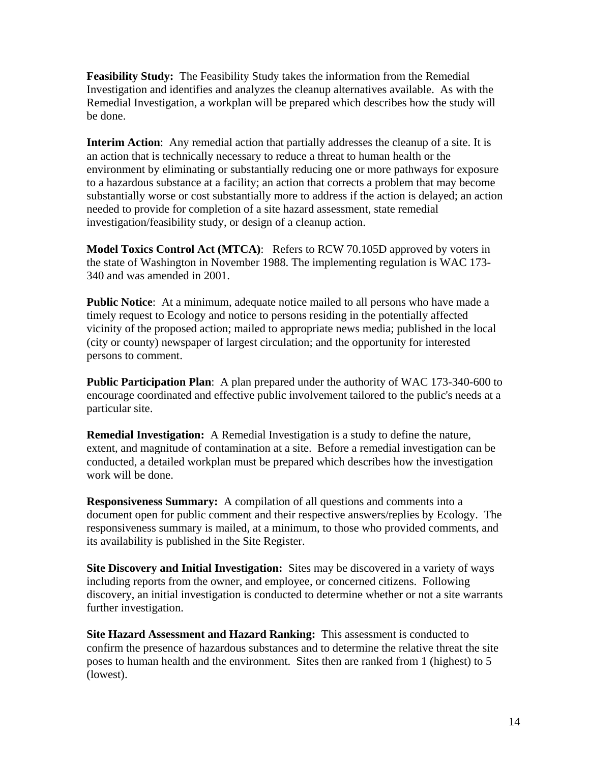**Feasibility Study:** The Feasibility Study takes the information from the Remedial Investigation and identifies and analyzes the cleanup alternatives available. As with the Remedial Investigation, a workplan will be prepared which describes how the study will be done.

**Interim Action**: Any remedial action that partially addresses the cleanup of a site. It is an action that is technically necessary to reduce a threat to human health or the environment by eliminating or substantially reducing one or more pathways for exposure to a hazardous substance at a facility; an action that corrects a problem that may become substantially worse or cost substantially more to address if the action is delayed; an action needed to provide for completion of a site hazard assessment, state remedial investigation/feasibility study, or design of a cleanup action.

**Model Toxics Control Act (MTCA)**: Refers to RCW 70.105D approved by voters in the state of Washington in November 1988. The implementing regulation is WAC 173- 340 and was amended in 2001.

**Public Notice**: At a minimum, adequate notice mailed to all persons who have made a timely request to Ecology and notice to persons residing in the potentially affected vicinity of the proposed action; mailed to appropriate news media; published in the local (city or county) newspaper of largest circulation; and the opportunity for interested persons to comment.

**Public Participation Plan**: A plan prepared under the authority of WAC 173-340-600 to encourage coordinated and effective public involvement tailored to the public's needs at a particular site.

**Remedial Investigation:** A Remedial Investigation is a study to define the nature, extent, and magnitude of contamination at a site. Before a remedial investigation can be conducted, a detailed workplan must be prepared which describes how the investigation work will be done.

**Responsiveness Summary:** A compilation of all questions and comments into a document open for public comment and their respective answers/replies by Ecology. The responsiveness summary is mailed, at a minimum, to those who provided comments, and its availability is published in the Site Register.

**Site Discovery and Initial Investigation:** Sites may be discovered in a variety of ways including reports from the owner, and employee, or concerned citizens. Following discovery, an initial investigation is conducted to determine whether or not a site warrants further investigation.

**Site Hazard Assessment and Hazard Ranking:** This assessment is conducted to confirm the presence of hazardous substances and to determine the relative threat the site poses to human health and the environment. Sites then are ranked from 1 (highest) to 5 (lowest).